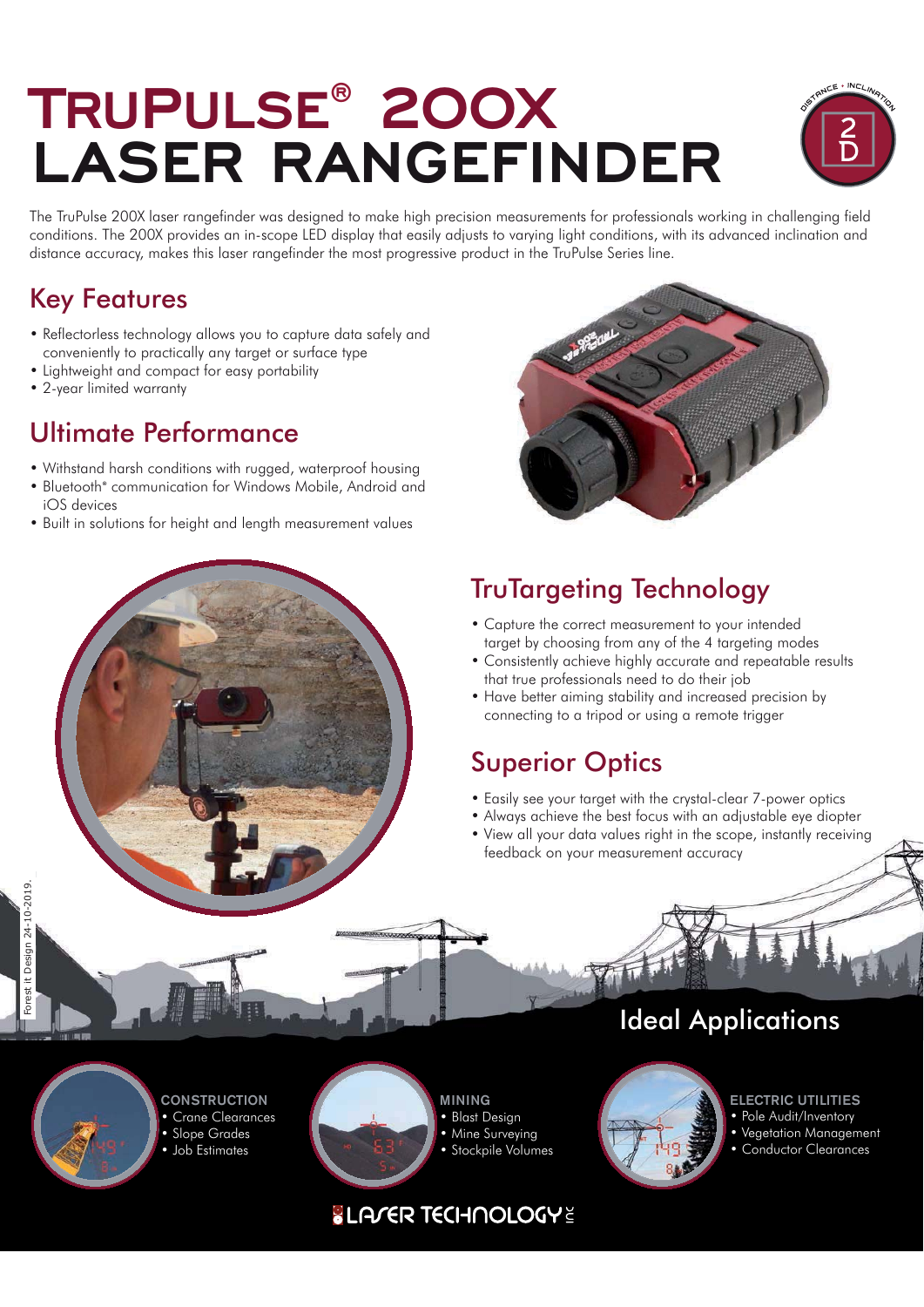## **TRUPULSE® 200X LASER RANGEFINDER**



The TruPulse 200X laser rangefinder was designed to make high precision measurements for professionals working in challenging field conditions. The 200X provides an in-scope LED display that easily adjusts to varying light conditions, with its advanced inclination and distance accuracy, makes this laser rangefinder the most progressive product in the TruPulse Series line.

### Key Features

- Reflectorless technology allows you to capture data safely and conveniently to practically any target or surface type
- Lightweight and compact for easy portability
- 2-year limited warranty

#### Ultimate Performance

- Withstand harsh conditions with rugged, waterproof housing
- Bluetooth® communication for Windows Mobile, Android and iOS devices
- Built in solutions for height and length measurement values



## TruTargeting Technology

- Capture the correct measurement to your intended target by choosing from any of the 4 targeting modes
- Consistently achieve highly accurate and repeatable results that true professionals need to do their job
- Have better aiming stability and increased precision by connecting to a tripod or using a remote trigger

### Superior Optics

- Easily see your target with the crystal-clear 7-power optics
- Always achieve the best focus with an adjustable eye diopter
- View all your data values right in the scope, instantly receiving feedback on your measurement accuracy



**CONSTRUCTION** • Crane Clearances • Slope Grades • Job Estimates



**MINING** • Blast Design

- Mine Surveying
- Stockpile Volumes



**ELECTRIC UTILITIES**

Ideal Applications

- Pole Audit/Inventory
- Vegetation Management • Conductor Clearances

#### **SLA/ER TECHNOLOGYE**